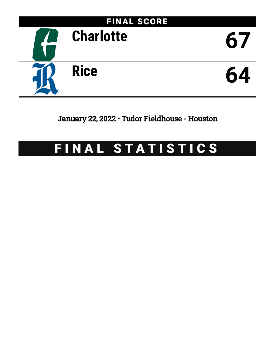

January 22, 2022 • Tudor Fieldhouse - Houston

# FINAL STATISTICS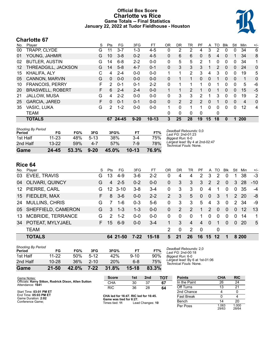### **Official Box Score Charlotte vs Rice Game Totals -- Final Statistics January 22, 2022 at Tudor Fieldhouse - Houston**



# **Charlotte 67**

| No.               | Player                  | S  | Pts      | FG      | 3FG      | FT        | 0R       | DR.      | TR             | PF            | A        | то            | Blk          | Stl          | Min | $+/-$          |
|-------------------|-------------------------|----|----------|---------|----------|-----------|----------|----------|----------------|---------------|----------|---------------|--------------|--------------|-----|----------------|
| 00                | TRAPP, CLYDE            | G  | 11       | $3 - 7$ | $1 - 3$  | 4-5       | 0        | 2        | 2              | 4             | 3        | 2             | 0            | 0            | 34  | 6              |
| 01                | YOUNG, JAHMIR           | G  | 10       | $3 - 8$ | $0 - 2$  | $4 - 5$   | 0        | 6        | 6              | 0             | 5        | 4             | $\Omega$     |              | 34  | 8              |
| 02                | <b>BUTLER, AUSTIN</b>   | G  | 14       | $6 - 8$ | $2 - 2$  | $0 - 0$   | 0        | 5        | 5              | 2             |          | 0             | 0            | 0            | 34  | 1              |
| $12 \overline{ }$ | THREADGILL, JACKSON     | G  | 14       | $5 - 8$ | $4 - 7$  | $0 - 1$   | $\Omega$ | 3        | 3              | 3             | 1        | $\mathcal{P}$ | $\Omega$     | 0            | 24  | 0              |
| 15                | KHALIFA, ALY            | C  | 4        | $2 - 4$ | $0 - 0$  | $0 - 0$   |          | 1        | $\overline{2}$ | 3             | 4        | 3             | $\mathbf 0$  | $\Omega$     | 19  | 5              |
| 05                | CANNON, MARVIN          | G  | $\Omega$ | $0 - 0$ | $0 - 0$  | $0 - 0$   | 0        | 1        |                | 0             | 0        |               | $\mathbf{0}$ | 0            | 1   | 0              |
| 10                | <b>FRANCOIS, PERRY</b>  | F. | 2        | $0 - 1$ | $0 - 1$  | $2 - 2$   | 0        | 1        |                | 1             | 0        |               | 0            | 0            | 5   | -6             |
| 20                | <b>BRASWELL, ROBERT</b> | F. | 6        | $2 - 4$ | $2 - 4$  | $0 - 0$   |          | 1        | $\overline{2}$ |               | $\Omega$ | 1             | $\Omega$     | $\Omega$     | 15  | $-5$           |
| 21                | <b>JALLOW, MUSA</b>     | G  | 4        | $2 - 2$ | $0 - 0$  | $0 - 0$   | 0        | 3        | 3              | 2             |          | 3             | $\mathbf 0$  | $\mathbf{0}$ | 19  | $\overline{2}$ |
| 25                | <b>GARCIA, JARED</b>    | F. | $\Omega$ | $0 - 1$ | $0 - 1$  | $0 - 0$   | 0        | 2        | 2              | $\mathcal{P}$ | 0        |               | 0            | $\mathbf{0}$ | 4   | 0              |
| 35                | VASIC, LUKA             | G  | 2        | $1 - 2$ | 0-0      | $0 - 0$   | 1        | $\Omega$ |                | 1             | 0        | 0             | $\Omega$     | $\Omega$     | 12  | 4              |
|                   | <b>TEAM</b>             |    |          |         |          |           | 0        | 0        | 0              | 0             |          | 0             |              |              |     |                |
|                   | <b>TOTALS</b>           |    | 67       | 24-45   | $9 - 20$ | $10 - 13$ | 3        | 25       | 28             | 19            | 15       | 18            | 0            | 1            | 200 |                |

| Game                                | $24 - 45$ | 53.3% | $9 - 20$ | 45.0% | $10-13$ | 76.9% |                                                           |
|-------------------------------------|-----------|-------|----------|-------|---------|-------|-----------------------------------------------------------|
| 2nd Half                            | $13 - 22$ | 59%   | $4 - 7$  | 57%   | 7-9     | 78%   | Largest lead: By 4 at 2nd-02:47<br>Technical Fouls: None. |
| 1st Half                            | 11-23     | 48%   | $5-13$   | 38%   | $3 - 4$ | 75%   | Biggest Run: 6-0                                          |
| <b>Shooting By Period</b><br>Period | FG        | FG%   | 3FG      | 3FG%  | FТ      | FT%   | Deadball Rebounds: 0,0<br>Last FG: 2nd-01:23              |

**Rice 64**

|     | .                      |    |               |          |         |         |               |     |                |           |                 |               |            |               |       |       |
|-----|------------------------|----|---------------|----------|---------|---------|---------------|-----|----------------|-----------|-----------------|---------------|------------|---------------|-------|-------|
| No. | Player                 | S. | Pts           | FG       | 3FG     | FT      | OR            | DR. | TR             | <b>PF</b> |                 | A TO          | <b>BIK</b> | Stl           | Min   | $+/-$ |
| 03  | EVEE, TRAVIS           | G. | 13            | $4-9$    | $3-6$   | $2 - 2$ | $\Omega$      | 4   | 4              | 2         | 3               | 2             | 0          |               | 38    | $-3$  |
| 04  | <b>OLIVARI, QUINCY</b> | G  | 4             | $2 - 5$  | $0 - 2$ | $0 - 0$ | 0             | 3   | 3              | 3         | 2               | $\mathcal{P}$ | $\Omega$   | 3             | 28    | $-10$ |
|     | 12 PIERRE, CARL        | G  | 12            | $3 - 10$ | $3 - 8$ | $3 - 4$ | $\Omega$      | 3   | 3              | $\Omega$  | 4               | 1             | $\Omega$   | 0             | 35    | -4    |
|     | 15 FIEDLER, MAX        | F. | 8             | $3-6$    | $0 - 0$ | $2 - 2$ | $\mathcal{P}$ | 3   | 5              | $\Omega$  | $\Omega$        | 3             | 1          |               | 2 20  | -8    |
| 24  | <b>MULLINS, CHRIS</b>  | G  | 7             | $1 - 6$  | $0 - 3$ | $5-6$   | $\Omega$      | 3   | 3              | 5         | 4               | 3             | $\Omega$   | $\mathcal{P}$ | 34    | -9    |
|     | 05 SHEFFIELD, CAMERON  | G  | 3             | $1 - 3$  | $1 - 3$ | $0 - 0$ | $\mathbf{0}$  | 2   | 2              | 1         | 2               | $\Omega$      | $\Omega$   | $\Omega$      | 12    | 13    |
| 13  | MCBRIDE, TERRANCE      | G  | $\mathcal{P}$ | $1 - 2$  | $0 - 0$ | $0-0$   | $\Omega$      | 0   | $\Omega$       | 1.        | $\Omega$        | $\Omega$      | $\Omega$   | $\Omega$      | 14    | 1.    |
| 34  | POTEAT, MYLYJAEL       | F. | 15            | $6-9$    | $0 - 0$ | $3-4$   | 1             | 3   | $\overline{4}$ | 4         | 0               | 1             | $\Omega$   | $\Omega$      | -20   | 5     |
|     | <b>TEAM</b>            |    |               |          |         |         | $\mathcal{P}$ | 0   | 2              | - 0       |                 | 0             |            |               |       |       |
|     | <b>TOTALS</b>          |    |               | 64 21-50 | $7-22$  | $15-18$ | 5             | 21  | 26             | 16        | 15 <sub>1</sub> | $12 \,$       |            |               | 8 200 |       |
|     |                        |    |               |          |         |         |               |     |                |           |                 |               |            |               |       |       |

| <b>Shooting By Period</b> |           |       |          |       |          |       |
|---------------------------|-----------|-------|----------|-------|----------|-------|
| Period                    | FG        | FG%   | 3FG      | 3FG%  | FТ       | FT%   |
| 1st Half                  | 11-22     | 50%   | $5-12$   | 42%   | $9 - 10$ | 90%   |
| 2nd Half                  | $10 - 28$ | 36%   | $2 - 10$ | 20%   | 6-8      | 75%   |
| Game                      | $21 - 50$ | 42.0% | $7 - 22$ | 31.8% | 15-18    | 83.3% |

*Deadball Rebounds:* 2,0 *Last FG:* 2nd-00:18 *Biggest Run:* 6-0 *Largest lead:* By 6 at 1st-01:06 *Technical Fouls:* None.

| Game Notes:                                                              | <b>Score</b>                                     | 1st | 2 <sub>nd</sub>  | тот               | <b>Points</b> | <b>CHA</b>     | <b>RIC</b>     |
|--------------------------------------------------------------------------|--------------------------------------------------|-----|------------------|-------------------|---------------|----------------|----------------|
| Officials: Kerry Sitton, Rodrick Dixon, Allen Sutton<br>Attendance: 1641 | <b>CHA</b>                                       | 30  | 37               | 67                | In the Paint  | 26             | 24             |
|                                                                          | <b>RIC</b>                                       | 36  | 28               | 64                | Off Turns     |                | 21             |
| Start Time: 03:01 PM ET                                                  |                                                  |     |                  |                   | 2nd Chance    |                |                |
| End Time: 05:03 PM ET<br>Game Duration: 2:02                             | CHA led for 16:47. RIC led for 16:45.            |     |                  | <b>Fast Break</b> |               |                |                |
| Conference Game:                                                         | Game was tied for 6:27.<br>Times tied: <b>11</b> |     | Lead Changes: 10 |                   | Bench         |                | 20             |
|                                                                          |                                                  |     |                  |                   | Per Poss      | 1.063<br>29/63 | 1.000<br>28/64 |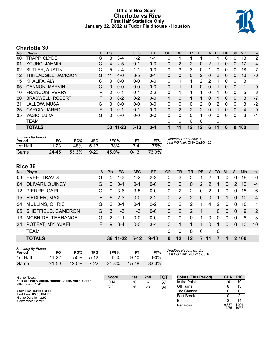### **Official Box Score Charlotte vs Rice First Half Statistics Only January 22, 2022 at Tudor Fieldhouse - Houston**



# **Charlotte 30**

| No. | Player                  | S  | <b>Pts</b>    | FG        | 3FG      | <b>FT</b> | <b>OR</b>    | DR       | TR           | PF            | A        | <b>TO</b> | <b>B</b> lk  | Stl      | Min            | $+/-$          |
|-----|-------------------------|----|---------------|-----------|----------|-----------|--------------|----------|--------------|---------------|----------|-----------|--------------|----------|----------------|----------------|
| 00  | TRAPP, CLYDE            | G  | 8             | 3-4       | $1 - 2$  | $1 - 1$   | 0            |          |              |               |          |           | 0            | 0        | 18             | $\overline{2}$ |
| 01  | YOUNG, JAHMIR           | G  | 4             | $2 - 5$   | $0 - 1$  | $0 - 0$   | $\Omega$     | 2        | 2            | 0             | 2        |           | 0            | 0        | 17             | $-4$           |
| 02  | <b>BUTLER, AUSTIN</b>   | G  | 5             | $2 - 4$   | $1 - 1$  | $0 - 0$   | $\mathbf{0}$ | 3        | 3            | 0             | 1        | 0         | 0            | 0        | 18             | $-7$           |
| 12  | THREADGILL, JACKSON     | G  | 11            | $4-6$     | $3 - 5$  | $0 - 1$   | 0            | 0        | $\mathbf{0}$ | 2             | 0        | 2         | $\mathbf{0}$ | 0        | 16             | $-6$           |
| 15  | KHALIFA, ALY            | C  | 0             | $0-0$     | $0 - 0$  | $0-0$     | $\mathbf{0}$ | 1        | 1            | 2             | 2        |           | 0            | $\Omega$ | 3              | 1              |
| 05  | <b>CANNON, MARVIN</b>   | G  | $\Omega$      | $0 - 0$   | $0 - 0$  | $0 - 0$   | $\Omega$     |          |              | $\Omega$      | 0        |           | $\Omega$     | $\Omega$ | 1              | $\Omega$       |
| 10  | <b>FRANCOIS, PERRY</b>  | F  | $\mathcal{P}$ | $0 - 1$   | $0 - 1$  | $2 - 2$   | $\Omega$     |          |              |               | 0        |           | 0            | 0        | 5              | -6             |
| 20  | <b>BRASWELL, ROBERT</b> | F. | 0             | $0 - 2$   | $0 - 2$  | $0 - 0$   | 1            | $\Omega$ | 1            |               | 0        | 1         | 0            | $\Omega$ | 8              | $-7$           |
| 21  | <b>JALLOW, MUSA</b>     | G  | 0             | $0 - 0$   | $0 - 0$  | $0 - 0$   | $\Omega$     | 0        | $\Omega$     | 2             | 0        | 2         | 0            | 0        | 3              | $-2$           |
| 25  | <b>GARCIA, JARED</b>    | F  | 0             | $0 - 1$   | $0 - 1$  | $0 - 0$   | $\Omega$     | 2        | 2            | $\mathcal{P}$ | $\Omega$ |           | 0            | $\Omega$ | $\overline{4}$ | $\Omega$       |
| 35  | VASIC, LUKA             | G  | 0             | $0-0$     | $0 - 0$  | $0 - 0$   | $\Omega$     | 0        | $\Omega$     |               | 0        | 0         | $\Omega$     | 0        | 8              | $-1$           |
|     | TEAM                    |    |               |           |          |           | 0            | 0        | $\Omega$     | $\Omega$      |          | 0         |              |          |                |                |
|     | <b>TOTALS</b>           |    | 30            | $11 - 23$ | $5 - 13$ | $3 - 4$   |              | 11       | $12 \,$      | 12            | 6        | 11        | 0            | 0        | 100            |                |

| <b>Shooting By Period</b><br>Period | FG        | FG%   | 3FG      | 3FG%       |         | FT%   | Deadball Rebounds: 0.0<br>Last FG Half: CHA 2nd-01:23 |
|-------------------------------------|-----------|-------|----------|------------|---------|-------|-------------------------------------------------------|
| 1st Half                            | $11 - 23$ | 48%   | $5-13$   | <b>38%</b> |         | 75%   |                                                       |
| Game                                | 24-45     | 53.3% | $9 - 20$ | 45.0%      | $10-13$ | 76.9% |                                                       |

# **Rice 36**

|     | ט טעוו                |    |                |           |         |          |           |           |              |             |              |     |            |          |       |       |
|-----|-----------------------|----|----------------|-----------|---------|----------|-----------|-----------|--------------|-------------|--------------|-----|------------|----------|-------|-------|
| No. | Player                | S  | <b>Pts</b>     | <b>FG</b> | 3FG     | FT.      | <b>OR</b> | <b>DR</b> | TR.          | <b>PF</b>   | $\mathsf{A}$ | TO. | <b>BIK</b> | Stl      | Min.  | $+/-$ |
| 03  | EVEE, TRAVIS          | G  | 5              | $1 - 3$   | $1 - 2$ | $2 - 2$  | 0         | 3         | 3            |             | 2            |     | 0          | 0        | 18    | 6     |
| 04  | OLIVARI, QUINCY       | G  | $\overline{0}$ | $0 - 1$   | $0 - 1$ | $0 - 0$  | 0         | $\Omega$  | $\mathbf{0}$ | 2           | 2            | 1   | $\Omega$   | 2        | 10    | $-4$  |
| 12  | PIERRE, CARL          | G  | 9              | $3-6$     | $3-5$   | $0 - 0$  | $\Omega$  | 2         | 2            | $\Omega$    | 2            | 1   | 0          | $\Omega$ | 18    | 6     |
|     | 15 FIEDLER, MAX       | F. | 6              | $2 - 3$   | $0-0$   | $2 - 2$  | $\Omega$  | 2         | 2            | $\Omega$    | $\Omega$     |     |            | $\Omega$ | 10    | $-4$  |
| 24  | <b>MULLINS, CHRIS</b> | G  | $\mathcal{P}$  | $0 - 1$   | $0 - 1$ | $2 - 2$  | $\Omega$  | 2         | 2            | 1           | 4            | 2   | $\Omega$   | $\Omega$ | 18    | 1     |
| 05  | SHEFFIELD, CAMERON    | G  | 3              | $1 - 3$   | $1 - 3$ | $0 - 0$  | $\Omega$  | 2         | 2            | 1           | 1            | 0   | $\Omega$   | $\Omega$ | 9     | 12    |
| 13  | MCBRIDE, TERRANCE     | G  | $\mathcal{P}$  | $1 - 1$   | $0-0$   | $0 - 0$  | $\Omega$  | $\Omega$  | $\Omega$     | 1           | 0            | 0   | $\Omega$   | $\Omega$ | 8     | -3    |
| 34  | POTEAT, MYLYJAEL      | F  | 9              | $3 - 4$   | $0-0$   | $3 - 4$  | $\Omega$  |           |              | 1           | $\Omega$     | 1   | $\Omega$   | $\Omega$ | 10    | 10    |
|     | <b>TEAM</b>           |    |                |           |         |          | $\Omega$  | 0         | $\Omega$     | $\mathbf 0$ |              | 0   |            |          |       |       |
|     | <b>TOTALS</b>         |    |                | 36 11-22  | $5-12$  | $9 - 10$ | $\bf{0}$  | 12        | $12 \,$      |             | 11           |     |            |          | 2 100 |       |
|     |                       |    |                |           |         |          |           |           |              |             |              |     |            |          |       |       |

| <b>Shooting By Period</b><br>Period | FG        | FG%   | 3FG    | 3FG%  |           | FT%   |
|-------------------------------------|-----------|-------|--------|-------|-----------|-------|
| 1st Half                            | $11 - 22$ | 50%   | $5-12$ | 42%   | $9 - 10$  | 90%   |
| Game                                | $21 - 50$ | 42.0% | 7-22   | 31.8% | $15 - 18$ | 83.3% |

*Deadball Rebounds:* 2,0 *Last FG Half:* RIC 2nd-00:18

| Game Notes:                                                              | <b>Score</b> | 1st | 2 <sub>nd</sub> | <b>TOT</b> | <b>Points (This Period)</b> | <b>CHA</b>     | <b>RIC</b>     |
|--------------------------------------------------------------------------|--------------|-----|-----------------|------------|-----------------------------|----------------|----------------|
| Officials: Kerry Sitton, Rodrick Dixon, Allen Sutton<br>Attendance: 1641 | <b>CHA</b>   | 30  | 37              | 67         | In the Paint                |                | 10             |
|                                                                          | <b>RIC</b>   | 36  | 28              | 64         | Off Turns                   |                |                |
| Start Time: 03:01 PM ET                                                  |              |     |                 |            | 2nd Chance                  |                |                |
| End Time: 05:03 PM ET<br>Game Duration: 2:02                             |              |     |                 |            | <b>Fast Break</b>           |                |                |
| Conference Game:                                                         |              |     |                 |            | Bench                       |                | 14             |
|                                                                          |              |     |                 |            | Per Poss                    | 0.857<br>13/35 | 1.091<br>16/33 |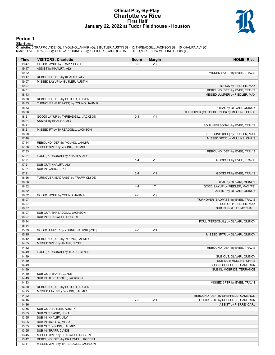#### **Official Play-By-Play Charlotte vs Rice First Half January 22, 2022 at Tudor Fieldhouse - Houston**



#### **Period 1**

<mark>Starters :</mark><br>Charlotte: 0 TRAPP,CLYDE (G); 1 YOUNG,JAHMIR (G); 2 BUTLER,AUSTIN (G); 12 THREADGILL,JACKSON (G); 15 KHALIFA,ALY (C);<br>**Rice**: 3 EVEE,TRAVIS (G); 4 OLIVARI,QUINCY (G); 12 PIERRE,CARL (G); 15 FIEDLER,MAX (F); 24

| Time  | <b>VISITORS: Charlotte</b>          | <b>Score</b> | <b>Margin</b>  | <b>HOME: Rice</b>                        |
|-------|-------------------------------------|--------------|----------------|------------------------------------------|
| 19:47 | GOOD! LAYUP by TRAPP, CLYDE         | $0 - 2$      | V <sub>2</sub> |                                          |
| 19:47 | ASSIST by KHALIFA, ALY              |              |                |                                          |
| 19:22 |                                     |              |                | MISSED LAYUP by EVEE, TRAVIS             |
| 19:17 | REBOUND (DEF) by KHALIFA, ALY       |              |                |                                          |
| 19:07 | MISSED LAYUP by BUTLER, AUSTIN      |              |                |                                          |
| 19:07 |                                     |              |                | BLOCK by FIEDLER, MAX                    |
| 19:01 |                                     |              |                | REBOUND (DEF) by EVEE, TRAVIS            |
| 18:43 |                                     |              |                | MISSED JUMPER by FIEDLER, MAX            |
| 18:38 | REBOUND (DEF) by BUTLER, AUSTIN     |              |                |                                          |
| 18:33 | TURNOVER (BADPASS) by YOUNG, JAHMIR |              |                |                                          |
|       |                                     |              |                |                                          |
| 18:33 |                                     |              |                | STEAL by OLIVARI, QUINCY                 |
| 18:28 |                                     |              |                | TURNOVER (OUTOFBOUNDS) by MULLINS, CHRIS |
| 18:21 | GOOD! LAYUP by THREADGILL, JACKSON  | $0 - 4$      | V <sub>4</sub> |                                          |
| 18:21 | ASSIST by KHALIFA, ALY              |              |                |                                          |
| 18:21 |                                     |              |                | FOUL (PERSONAL) by EVEE, TRAVIS          |
| 18:21 | MISSED FT by THREADGILL, JACKSON    |              |                |                                          |
| 18:20 |                                     |              |                | REBOUND (DEF) by FIEDLER, MAX            |
| 17:48 |                                     |              |                | MISSED 3PTR by MULLINS, CHRIS            |
| 17:44 | REBOUND (DEF) by YOUNG, JAHMIR      |              |                |                                          |
| 17:36 | MISSED 3PTR by YOUNG, JAHMIR        |              |                |                                          |
| 17:33 |                                     |              |                | REBOUND (DEF) by EVEE, TRAVIS            |
| 17:21 | FOUL (PERSONAL) by KHALIFA, ALY     |              |                |                                          |
| 17:21 |                                     | $1 - 4$      | $V_3$          | GOOD! FT by EVEE, TRAVIS                 |
| 17:21 | SUB OUT: KHALIFA, ALY               |              |                |                                          |
| 17:21 | SUB IN: VASIC, LUKA                 |              |                |                                          |
| 17:21 |                                     | $2 - 4$      | V <sub>2</sub> | GOOD! FT by EVEE, TRAVIS                 |
| 16:56 | TURNOVER (BADPASS) by TRAPP, CLYDE  |              |                |                                          |
| 16:56 |                                     |              |                | STEAL by OLIVARI, QUINCY                 |
| 16:52 |                                     | $4 - 4$      | T              | GOOD! LAYUP by FIEDLER, MAX [FB]         |
| 16:52 |                                     |              |                | ASSIST by OLIVARI, QUINCY                |
| 16:32 | GOOD! LAYUP by YOUNG, JAHMIR        | $4 - 6$      | V <sub>2</sub> |                                          |
| 16:07 |                                     |              |                | TURNOVER (BADPASS) by EVEE, TRAVIS       |
| 16:07 |                                     |              |                | SUB OUT: FIEDLER, MAX                    |
| 16:07 |                                     |              |                | SUB IN: POTEAT, MYLYJAEL                 |
| 16:07 | SUB OUT: THREADGILL, JACKSON        |              |                |                                          |
| 16:07 | SUB IN: BRASWELL, ROBERT            |              |                |                                          |
| 15:44 |                                     |              |                | FOUL (PERSONAL) by OLIVARI, QUINCY       |
| 15:44 |                                     |              |                |                                          |
| 15:39 | GOOD! JUMPER by YOUNG, JAHMIR [PNT] | $4 - 8$      | V <sub>4</sub> |                                          |
| 15:15 |                                     |              |                | MISSED 3PTR by OLIVARI, QUINCY           |
| 15:12 | REBOUND (DEF) by YOUNG, JAHMIR      |              |                |                                          |
| 14:55 | MISSED 3PTR by TRAPP, CLYDE         |              |                |                                          |
| 14:52 |                                     |              |                | REBOUND (DEF) by EVEE, TRAVIS            |
| 14:49 | FOUL (PERSONAL) by TRAPP, CLYDE     |              |                |                                          |
| 14:49 |                                     |              |                |                                          |
|       |                                     |              |                | SUB OUT: OLIVARI, QUINCY                 |
| 14:49 |                                     |              |                | SUB OUT: MULLINS, CHRIS                  |
| 14:49 |                                     |              |                | SUB IN: SHEFFIELD, CAMERON               |
| 14:49 |                                     |              |                | SUB IN: MCBRIDE, TERRANCE                |
| 14:49 | SUB OUT: TRAPP, CLYDE               |              |                |                                          |
| 14:49 | SUB IN: THREADGILL, JACKSON         |              |                |                                          |
| 14:33 |                                     |              |                | MISSED 3PTR by EVEE, TRAVIS              |
| 14:30 | REBOUND (DEF) by BUTLER, AUSTIN     |              |                |                                          |
| 14:25 | MISSED LAYUP by YOUNG, JAHMIR       |              |                |                                          |
| 14:22 |                                     |              |                | REBOUND (DEF) by SHEFFIELD, CAMERON      |
| 14:16 |                                     | $7 - 8$      | V <sub>1</sub> | GOOD! 3PTR by SHEFFIELD, CAMERON         |
| 14:16 |                                     |              |                | ASSIST by PIERRE, CARL                   |
| 13:55 | SUB OUT: BUTLER, AUSTIN             |              |                |                                          |
| 13:55 | SUB OUT: VASIC, LUKA                |              |                |                                          |
| 13:55 | SUB IN: KHALIFA, ALY                |              |                |                                          |
| 13:55 | SUB IN: JALLOW, MUSA                |              |                |                                          |
| 13:55 | SUB OUT: YOUNG, JAHMIR              |              |                |                                          |
| 13:55 | SUB IN: TRAPP, CLYDE                |              |                |                                          |
| 13:45 | MISSED 3PTR by BRASWELL, ROBERT     |              |                |                                          |
| 13:42 | REBOUND (OFF) by BRASWELL, ROBERT   |              |                |                                          |
| 13:41 | MISSED 3PTR by THREADGILL, JACKSON  |              |                |                                          |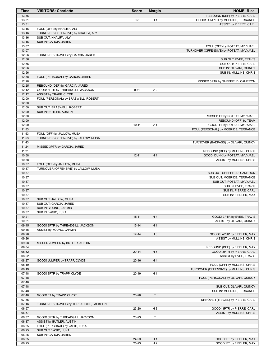| <b>Time</b>    | <b>VISITORS: Charlotte</b>                                    | <b>Score</b> | <b>Margin</b>  | <b>HOME: Rice</b>                                       |
|----------------|---------------------------------------------------------------|--------------|----------------|---------------------------------------------------------|
| 13:36          |                                                               |              |                | REBOUND (DEF) by PIERRE, CARL                           |
| 13:31          |                                                               | $9 - 8$      | H <sub>1</sub> | GOOD! JUMPER by MCBRIDE, TERRANCE                       |
| 13:31          |                                                               |              |                | ASSIST by PIERRE, CARL                                  |
| 13:16          | FOUL (OFF) by KHALIFA, ALY                                    |              |                |                                                         |
| 13:16<br>13:16 | TURNOVER (OFFENSIVE) by KHALIFA, ALY<br>SUB OUT: KHALIFA, ALY |              |                |                                                         |
| 13:16          | SUB IN: GARCIA, JARED                                         |              |                |                                                         |
| 13:07          |                                                               |              |                | FOUL (OFF) by POTEAT, MYLYJAEL                          |
| 13:07          |                                                               |              |                | TURNOVER (OFFENSIVE) by POTEAT, MYLYJAEL                |
| 12:56          | TURNOVER (TRAVEL) by GARCIA, JARED                            |              |                |                                                         |
| 12:56          |                                                               |              |                | SUB OUT: EVEE, TRAVIS                                   |
| 12:56          |                                                               |              |                | SUB OUT: PIERRE, CARL                                   |
| 12:56          |                                                               |              |                | SUB IN: OLIVARI, QUINCY                                 |
| 12:56          |                                                               |              |                | SUB IN: MULLINS, CHRIS                                  |
| 12:38          | FOUL (PERSONAL) by GARCIA, JARED                              |              |                |                                                         |
| 12:28<br>12:25 | REBOUND (DEF) by GARCIA, JARED                                |              |                | MISSED 3PTR by SHEFFIELD, CAMERON                       |
| 12:12          | GOOD! 3PTR by THREADGILL, JACKSON                             | $9 - 11$     | V <sub>2</sub> |                                                         |
| 12:12          | ASSIST by TRAPP, CLYDE                                        |              |                |                                                         |
| 12:00          | FOUL (PERSONAL) by BRASWELL, ROBERT                           |              |                |                                                         |
| 12:00          |                                                               |              |                |                                                         |
| 12:00          | SUB OUT: BRASWELL, ROBERT                                     |              |                |                                                         |
| 12:00          | SUB IN: BUTLER, AUSTIN                                        |              |                |                                                         |
| 12:00          |                                                               |              |                | MISSED FT by POTEAT, MYLYJAEL                           |
| 12:00          |                                                               |              |                | REBOUND (OFF) by TEAM                                   |
| 12:00          |                                                               | $10 - 11$    | V <sub>1</sub> | GOOD! FT by POTEAT, MYLYJAEL                            |
| 11:53          |                                                               |              |                | FOUL (PERSONAL) by MCBRIDE, TERRANCE                    |
| 11:53          | FOUL (OFF) by JALLOW, MUSA                                    |              |                |                                                         |
| 11:53<br>11:43 | TURNOVER (OFFENSIVE) by JALLOW, MUSA                          |              |                | TURNOVER (BADPASS) by OLIVARI, QUINCY                   |
| 11:24          | MISSED 3PTR by GARCIA, JARED                                  |              |                |                                                         |
| 11:21          |                                                               |              |                | REBOUND (DEF) by MULLINS, CHRIS                         |
| 10:58          |                                                               | $12 - 11$    | H <sub>1</sub> | GOOD! DUNK by POTEAT, MYLYJAEL                          |
| 10:58          |                                                               |              |                | ASSIST by MULLINS, CHRIS                                |
| 10:37          | FOUL (OFF) by JALLOW, MUSA                                    |              |                |                                                         |
| 10:37          | TURNOVER (OFFENSIVE) by JALLOW, MUSA                          |              |                |                                                         |
| 10:37          |                                                               |              |                | SUB OUT: SHEFFIELD, CAMERON                             |
| 10:37          |                                                               |              |                | SUB OUT: MCBRIDE, TERRANCE                              |
| 10:37          |                                                               |              |                | SUB OUT: POTEAT, MYLYJAEL                               |
| 10:37<br>10:37 |                                                               |              |                | SUB IN: EVEE, TRAVIS<br>SUB IN: PIERRE, CARL            |
| 10:37          |                                                               |              |                | SUB IN: FIEDLER, MAX                                    |
| 10:37          | SUB OUT: JALLOW, MUSA                                         |              |                |                                                         |
| 10:37          | SUB OUT: GARCIA, JARED                                        |              |                |                                                         |
| 10:37          | SUB IN: YOUNG, JAHMIR                                         |              |                |                                                         |
| 10:37          | SUB IN: VASIC, LUKA                                           |              |                |                                                         |
| 10:21          |                                                               | $15 - 11$    | H4             | GOOD! 3PTR by EVEE, TRAVIS                              |
| 10:21          |                                                               |              |                | ASSIST by OLIVARI, QUINCY                               |
| 09:45          | GOOD! 3PTR by THREADGILL, JACKSON                             | $15 - 14$    | H <sub>1</sub> |                                                         |
| 09:45          | ASSIST by YOUNG, JAHMIR                                       |              |                |                                                         |
| 09:26<br>09:26 |                                                               | $17 - 14$    | $H_3$          | GOOD! LAYUP by FIEDLER, MAX<br>ASSIST by MULLINS, CHRIS |
| 09:08          | MISSED JUMPER by BUTLER, AUSTIN                               |              |                |                                                         |
| 09:04          |                                                               |              |                | REBOUND (DEF) by FIEDLER, MAX                           |
| 08:52          |                                                               | $20 - 14$    | H <sub>6</sub> | GOOD! 3PTR by PIERRE, CARL                              |
| 08:52          |                                                               |              |                | ASSIST by EVEE, TRAVIS                                  |
| 08:27          | GOOD! JUMPER by TRAPP, CLYDE                                  | $20 - 16$    | H4             |                                                         |
| 08:19          |                                                               |              |                | FOUL (OFF) by MULLINS, CHRIS                            |
| 08:19          |                                                               |              |                | TURNOVER (OFFENSIVE) by MULLINS, CHRIS                  |
| 07:48          | GOOD! 3PTR by TRAPP, CLYDE                                    | $20-19$      | H <sub>1</sub> |                                                         |
| 07:48          |                                                               |              |                | FOUL (PERSONAL) by OLIVARI, QUINCY                      |
| 07:48          |                                                               |              |                |                                                         |
| 07:48<br>07:48 |                                                               |              |                | SUB OUT: OLIVARI, QUINCY<br>SUB IN: MCBRIDE, TERRANCE   |
| 07:48          | GOOD! FT by TRAPP, CLYDE                                      | $20 - 20$    | T              |                                                         |
| 07:35          |                                                               |              |                | TURNOVER (TRAVEL) by PIERRE, CARL                       |
| 07:16          | TURNOVER (TRAVEL) by THREADGILL, JACKSON                      |              |                |                                                         |
| 06:57          |                                                               | 23-20        | $H_3$          | GOOD! 3PTR by PIERRE, CARL                              |
| 06:57          |                                                               |              |                | ASSIST by MULLINS, CHRIS                                |
| 06:37          | GOOD! 3PTR by THREADGILL, JACKSON                             | 23-23        | T              |                                                         |
| 06:37          | ASSIST by BUTLER, AUSTIN                                      |              |                |                                                         |
| 06:25          | FOUL (PERSONAL) by VASIC, LUKA                                |              |                |                                                         |
| 06:25          | SUB OUT: VASIC, LUKA                                          |              |                |                                                         |
| 06:25<br>06:25 | SUB IN: GARCIA, JARED                                         | 24-23        | H <sub>1</sub> | GOOD! FT by FIEDLER, MAX                                |
| 06:25          |                                                               | 25-23        | H <sub>2</sub> | GOOD! FT by FIEDLER, MAX                                |
|                |                                                               |              |                |                                                         |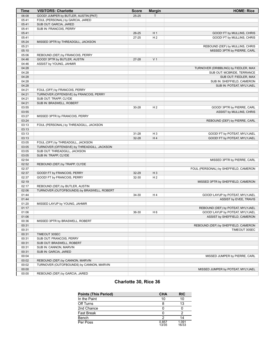| <b>Time</b> | <b>VISITORS: Charlotte</b>                  | <b>Score</b> | <b>Margin</b>  | <b>HOME: Rice</b>                     |
|-------------|---------------------------------------------|--------------|----------------|---------------------------------------|
| 06:08       | GOOD! JUMPER by BUTLER, AUSTIN [PNT]        | $25 - 25$    | T              |                                       |
| 05:41       | FOUL (PERSONAL) by GARCIA, JARED            |              |                |                                       |
| 05:41       | SUB OUT: GARCIA, JARED                      |              |                |                                       |
| 05:41       | SUB IN: FRANCOIS, PERRY                     |              |                |                                       |
| 05:41       |                                             | 26-25        | H <sub>1</sub> | GOOD! FT by MULLINS, CHRIS            |
| 05:41       |                                             | $27 - 25$    | H <sub>2</sub> | GOOD! FT by MULLINS, CHRIS            |
| 05:24       | MISSED 3PTR by THREADGILL, JACKSON          |              |                |                                       |
| 05:21       |                                             |              |                | REBOUND (DEF) by MULLINS, CHRIS       |
| 05:10       |                                             |              |                | MISSED 3PTR by PIERRE, CARL           |
| 05:06       | REBOUND (DEF) by FRANCOIS, PERRY            |              |                |                                       |
| 04:46       | GOOD! 3PTR by BUTLER, AUSTIN                | $27 - 28$    | V <sub>1</sub> |                                       |
| 04:46       | ASSIST by YOUNG, JAHMIR                     |              |                |                                       |
| 04:28       |                                             |              |                | TURNOVER (DRIBBLING) by FIEDLER, MAX  |
| 04:28       |                                             |              |                | SUB OUT: MCBRIDE, TERRANCE            |
| 04:28       |                                             |              |                | SUB OUT: FIEDLER, MAX                 |
| 04:28       |                                             |              |                | SUB IN: SHEFFIELD, CAMERON            |
| 04:28       |                                             |              |                | SUB IN: POTEAT, MYLYJAEL              |
| 04:21       | FOUL (OFF) by FRANCOIS, PERRY               |              |                |                                       |
| 04:21       | TURNOVER (OFFENSIVE) by FRANCOIS, PERRY     |              |                |                                       |
| 04:21       | SUB OUT: TRAPP, CLYDE                       |              |                |                                       |
| 04:21       | SUB IN: BRASWELL, ROBERT                    |              |                |                                       |
| 03:55       |                                             | 30-28        | H <sub>2</sub> | GOOD! 3PTR by PIERRE, CARL            |
| 03:55       |                                             |              |                | ASSIST by MULLINS, CHRIS              |
| 03:27       | MISSED 3PTR by FRANCOIS, PERRY              |              |                |                                       |
| 03:24       |                                             |              |                | REBOUND (DEF) by PIERRE, CARL         |
| 03:13       | FOUL (PERSONAL) by THREADGILL, JACKSON      |              |                |                                       |
| 03:13       |                                             |              |                |                                       |
| 03:13       |                                             | $31 - 28$    | H <sub>3</sub> | GOOD! FT by POTEAT, MYLYJAEL          |
| 03:13       |                                             | 32-28        | H4             | GOOD! FT by POTEAT, MYLYJAEL          |
| 03:05       | FOUL (OFF) by THREADGILL, JACKSON           |              |                |                                       |
| 03:05       | TURNOVER (OFFENSIVE) by THREADGILL, JACKSON |              |                |                                       |
| 03:05       | SUB OUT: THREADGILL, JACKSON                |              |                |                                       |
| 03:05       | SUB IN: TRAPP, CLYDE                        |              |                |                                       |
| 02:54       |                                             |              |                | MISSED 3PTR by PIERRE, CARL           |
| 02:52       | REBOUND (DEF) by TRAPP, CLYDE               |              |                |                                       |
| 02:37       |                                             |              |                | FOUL (PERSONAL) by SHEFFIELD, CAMERON |
| 02:37       | GOOD! FT by FRANCOIS, PERRY                 | 32-29        | $H_3$          |                                       |
| 02:37       | GOOD! FT by FRANCOIS, PERRY                 | 32-30        | H <sub>2</sub> |                                       |
| 02:19       |                                             |              |                | MISSED 3PTR by SHEFFIELD, CAMERON     |
| 02:17       | REBOUND (DEF) by BUTLER, AUSTIN             |              |                |                                       |
| 02:06       | TURNOVER (OUTOFBOUNDS) by BRASWELL, ROBERT  |              |                |                                       |
| 01:44       |                                             | 34-30        | H 4            | GOOD! LAYUP by POTEAT, MYLYJAEL       |
| 01:44       |                                             |              |                | ASSIST by EVEE, TRAVIS                |
| 01:20       | MISSED LAYUP by YOUNG, JAHMIR               |              |                |                                       |
| 01:17       |                                             |              |                | REBOUND (DEF) by POTEAT, MYLYJAEL     |
| 01:06       |                                             | 36-30        | H <sub>6</sub> | GOOD! LAYUP by POTEAT, MYLYJAEL       |
| 01:06       |                                             |              |                | ASSIST by SHEFFIELD, CAMERON          |
| 00:36       | MISSED 3PTR by BRASWELL, ROBERT             |              |                |                                       |
| 00:31       |                                             |              |                | REBOUND (DEF) by SHEFFIELD, CAMERON   |
| 00:31       |                                             |              |                | TIMEOUT 30SEC                         |
| 00:31       | TIMEOUT 30SEC                               |              |                |                                       |
| 00:31       | SUB OUT: FRANCOIS, PERRY                    |              |                |                                       |
| 00:31       | SUB OUT: BRASWELL, ROBERT                   |              |                |                                       |
| 00:31       | SUB IN: CANNON, MARVIN                      |              |                |                                       |
| 00:31       | SUB IN: GARCIA, JARED                       |              |                |                                       |
| 00:04       |                                             |              |                | MISSED JUMPER by PIERRE, CARL         |
| 00:02       | REBOUND (DEF) by CANNON, MARVIN             |              |                |                                       |
| 00:02       | TURNOVER (OUTOFBOUNDS) by CANNON, MARVIN    |              |                |                                       |
| 00:00       |                                             |              |                | MISSED JUMPER by POTEAT, MYLYJAEL     |
| 00:00       | REBOUND (DEF) by GARCIA, JARED              |              |                |                                       |

# **Charlotte 30, Rice 36**

| <b>Points (This Period)</b> | <b>CHA</b>     | <b>RIC</b>     |
|-----------------------------|----------------|----------------|
| In the Paint                | 10             | 10             |
| Off Turns                   |                | 13             |
| 2nd Chance                  | 0              |                |
| <b>Fast Break</b>           | 0              |                |
| Bench                       | າ              | 14             |
| Per Poss                    | 0.857<br>13/35 | 1.091<br>16/33 |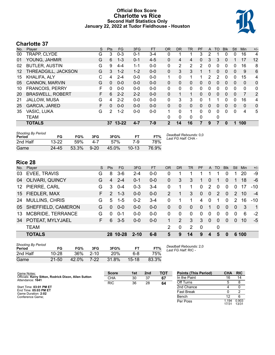### **Official Box Score Charlotte vs Rice Second Half Statistics Only January 22, 2022 at Tudor Fieldhouse - Houston**



# **Charlotte 37**

| No.               | Plaver                  | S  | <b>Pts</b> | FG.       | 3FG     | FT.     | <b>OR</b>      | <b>DR</b>      | <b>TR</b>    | <b>PF</b> | A              | <b>TO</b>    | <b>Blk</b>   | Stl          | <b>Min</b>   | $+/-$       |
|-------------------|-------------------------|----|------------|-----------|---------|---------|----------------|----------------|--------------|-----------|----------------|--------------|--------------|--------------|--------------|-------------|
| 00                | TRAPP, CLYDE            | G  | 3          | $0 - 3$   | $0 - 1$ | $3 - 4$ | 0              | 1              |              | 3         | 2              |              | 0            | 0            | 16           | 4           |
| 01                | YOUNG, JAHMIR           | G  | 6          | $1 - 3$   | $0 - 1$ | $4 - 5$ | 0              | 4              | 4            | 0         | 3              | 3            | $\Omega$     |              | 17           | 12          |
| 02                | <b>BUTLER, AUSTIN</b>   | G  | 9          | $4 - 4$   | $1 - 1$ | $0 - 0$ | 0              | $\overline{2}$ | 2            | 2         | $\mathbf{0}$   | 0            | $\mathbf 0$  | 0            | 16           | 8           |
| $12 \overline{ }$ | THREADGILL, JACKSON     | G  | 3          | $1 - 2$   | $1 - 2$ | $0 - 0$ | $\Omega$       | 3              | 3            |           | 1              | 0            | $\mathbf{0}$ | $\mathbf{0}$ | 9            | 6           |
| 15                | KHALIFA, ALY            | С  | 4          | $2 - 4$   | $0 - 0$ | $0 - 0$ | 1              | $\Omega$       |              | 1         | $\overline{2}$ | 2            | $\Omega$     | 0            | 15           | 4           |
| 05                | CANNON, MARVIN          | G  | $\Omega$   | $0 - 0$   | $0 - 0$ | $0 - 0$ | 0              | $\Omega$       | 0            | 0         | 0              | $\mathbf{0}$ | $\mathbf{0}$ | $\mathbf{0}$ | $\mathbf{0}$ | $\mathbf 0$ |
| 10                | <b>FRANCOIS, PERRY</b>  | F  | $\Omega$   | $0 - 0$   | $0 - 0$ | $0 - 0$ | 0              | 0              | 0            | 0         | 0              | 0            | $\mathbf 0$  | 0            | 0            | 0           |
| 20                | <b>BRASWELL, ROBERT</b> | F. | 6          | $2 - 2$   | $2 - 2$ | $0 - 0$ | $\Omega$       | 1              | 1            | 0         | $\Omega$       | $\Omega$     | $\Omega$     | $\mathbf{0}$ | 7            | 2           |
| 21                | JALLOW, MUSA            | G  | 4          | $2 - 2$   | $0 - 0$ | $0 - 0$ | 0              | 3              | 3            | 0         |                |              | 0            | 0            | 16           | 4           |
| 25                | <b>GARCIA, JARED</b>    | F  | $\Omega$   | $0 - 0$   | $0 - 0$ | $0 - 0$ | $\Omega$       | $\Omega$       | $\mathbf{0}$ | 0         | 0              | $\Omega$     | $\Omega$     | $\Omega$     | $\Omega$     | 0           |
| 35                | VASIC, LUKA             | G  | 2          | $1 - 2$   | $0 - 0$ | $0 - 0$ |                | 0              |              | 0         | 0              | 0            | $\Omega$     | 0            | 4            | 5           |
|                   | <b>TEAM</b>             |    |            |           |         |         | 0              | 0              | 0            | 0         |                | 0            |              |              |              |             |
|                   | <b>TOTALS</b>           |    | 37         | $13 - 22$ | $4 - 7$ | $7-9$   | $\overline{2}$ | 14             | 16           | 7         | 9              | 7            | $\bf{0}$     | 1            | 100          |             |

| <b>Shooting By Period</b><br>Period | FG        | FG%   | 3FG      | 3FG%  | F1        | FT%   | Deadball Rebounds: 0,0<br>Last FG Half: CHA - |
|-------------------------------------|-----------|-------|----------|-------|-----------|-------|-----------------------------------------------|
| 2nd Half                            | $13 - 22$ | 59%   | 4-7      | 57%   | 7-9       | 78%   |                                               |
| Game                                | $24 - 45$ | 53.3% | $9 - 20$ | 45.0% | $10 - 13$ | 76.9% |                                               |

# **Rice 28**

| No. | Plaver                 | S. | <b>Pts</b>    | FG.      | 3FG      | FТ      | OR           | <b>DR</b>    | TR                    | <b>PF</b>      | $\mathsf{A}$ | TO            | <b>B</b> lk | Stl            | Min   | $+/-$          |
|-----|------------------------|----|---------------|----------|----------|---------|--------------|--------------|-----------------------|----------------|--------------|---------------|-------------|----------------|-------|----------------|
| 03  | EVEE, TRAVIS           | G  | 8             | $3-6$    | 2-4      | $0 - 0$ | $\Omega$     |              |                       |                |              |               |             |                | 20    | -9             |
| 04  | <b>OLIVARI, QUINCY</b> | G  | 4             | $2 - 4$  | $0 - 1$  | $0 - 0$ | $\Omega$     | 3            | 3                     | 1.             | $\Omega$     |               | $\Omega$    |                | 18    | $-6$           |
|     | 12 PIERRE, CARL        | G  | 3             | $0 - 4$  | $0 - 3$  | $3 - 4$ | $\Omega$     |              |                       | 0              | 2            | $\Omega$      | $\Omega$    | $\Omega$       | 17    | $-10$          |
|     | 15 FIEDLER, MAX        | F. | $\mathcal{P}$ | $1 - 3$  | $0 - 0$  | $0-0$   | 2            |              | 3                     | $\overline{0}$ | $\Omega$     | $\mathcal{P}$ | $\Omega$    | 2              | 10    | $-4$           |
| 24  | <b>MULLINS, CHRIS</b>  | G  | 5             | $1 - 5$  | $0 - 2$  | $3 - 4$ | 0            |              |                       | 4              | 0            | 1             | $\Omega$    | $\mathcal{P}$  | 16    | $-10$          |
|     | 05 SHEFFIELD, CAMERON  | G  | $\Omega$      | $0 - 0$  | $0 - 0$  | $0 - 0$ | $\mathbf{0}$ | $\mathbf{0}$ | $\overline{0}$        | $\overline{0}$ |              | 0             | $\Omega$    | $\overline{0}$ | 3     | $\overline{1}$ |
| 13  | MCBRIDE, TERRANCE      | G  | 0             | $0 - 1$  | $0 - 0$  | $0 - 0$ | $\Omega$     | 0            | $\Omega$              | $\Omega$       | $\Omega$     | $\Omega$      | $\Omega$    | $\Omega$       | 6     | $-2$           |
| 34  | POTEAT, MYLYJAEL       | F. | 6             | $3 - 5$  | $0 - 0$  | $0 - 0$ |              | 2            | 3                     | 3              | $\Omega$     | 0             | $\Omega$    | $\Omega$       | 10    | -5             |
|     | <b>TEAM</b>            |    |               |          |          |         | 2            | 0            | $\mathbf{2}^{\prime}$ | $\mathbf 0$    |              | 0             |             |                |       |                |
|     | <b>TOTALS</b>          |    |               | 28 10-28 | $2 - 10$ | $6 - 8$ | 5            | 9            | 14                    | 9              | 4            | 5             | 0           |                | 6 100 |                |

| <b>Shooting By Period</b><br>Period | FG        | FG%   | 3FG      | 3FG%  |           | FT%   | Deadball Rebounds: 2,0<br>Last FG Half: RIC - |
|-------------------------------------|-----------|-------|----------|-------|-----------|-------|-----------------------------------------------|
| 2nd Half                            | 10-28     | 36%   | $2 - 10$ | 20%   | հ-8       | 75%   |                                               |
| Game                                | $21 - 50$ | 42.0% | $7-22$   | 31.8% | $15 - 18$ | 83.3% |                                               |

| Game Notes:                                                              | <b>Score</b> | 1st | 2 <sub>nd</sub> | <b>TOT</b> | <b>Points (This Period)</b> | <b>CHA</b>    | <b>RIC</b>     |
|--------------------------------------------------------------------------|--------------|-----|-----------------|------------|-----------------------------|---------------|----------------|
| Officials: Kerry Sitton, Rodrick Dixon, Allen Sutton<br>Attendance: 1641 | <b>CHA</b>   | 30  | 37              | 67         | In the Paint                | 16            | 14             |
|                                                                          | <b>RIC</b>   | 36  | 28              | 64         | Off Turns                   |               |                |
| Start Time: 03:01 PM ET                                                  |              |     |                 |            | 2nd Chance                  |               |                |
| End Time: 05:03 PM ET<br>Game Duration: 2:02                             |              |     |                 |            | <b>Fast Break</b>           |               |                |
| Conference Game:                                                         |              |     |                 |            | Bench                       |               |                |
|                                                                          |              |     |                 |            | Per Poss                    | .194<br>17/31 | 0.903<br>13/31 |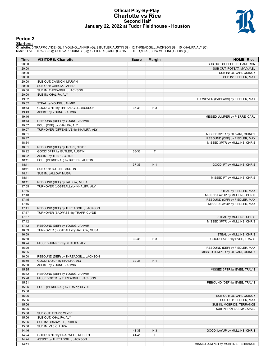#### **Official Play-By-Play Charlotte vs Rice Second Half January 22, 2022 at Tudor Fieldhouse - Houston**



### **Period 2**

<mark>Starters :</mark><br>Charlotte: 0 TRAPP,CLYDE (G); 1 YOUNG,JAHMIR (G); 2 BUTLER,AUSTIN (G); 12 THREADGILL,JACKSON (G); 15 KHALIFA,ALY (C);<br>**Rice**: 3 EVEE,TRAVIS (G); 4 OLIVARI,QUINCY (G); 12 PIERRE,CARL (G); 15 FIEDLER,MAX (F); 24

| Time           | <b>VISITORS: Charlotte</b>                                      | <b>Score</b> | <b>Margin</b>  | <b>HOME: Rice</b>                  |
|----------------|-----------------------------------------------------------------|--------------|----------------|------------------------------------|
| 20:00          |                                                                 |              |                | SUB OUT: SHEFFIELD, CAMERON        |
| 20:00          |                                                                 |              |                | SUB OUT: POTEAT, MYLYJAEL          |
| 20:00          |                                                                 |              |                | SUB IN: OLIVARI, QUINCY            |
| 20:00          |                                                                 |              |                | SUB IN: FIEDLER, MAX               |
| 20:00          | SUB OUT: CANNON, MARVIN                                         |              |                |                                    |
| 20:00          | SUB OUT: GARCIA, JARED                                          |              |                |                                    |
| 20:00          | SUB IN: THREADGILL, JACKSON                                     |              |                |                                    |
| 20:00          | SUB IN: KHALIFA, ALY                                            |              |                |                                    |
| 19:52          |                                                                 |              |                | TURNOVER (BADPASS) by FIEDLER, MAX |
| 19:52          | STEAL by YOUNG, JAHMIR                                          |              |                |                                    |
| 19:43          | GOOD! 3PTR by THREADGILL, JACKSON                               | 36-33        | H <sub>3</sub> |                                    |
| 19:43          | ASSIST by YOUNG, JAHMIR                                         |              |                |                                    |
| 19:16          |                                                                 |              |                | MISSED JUMPER by PIERRE, CARL      |
| 19:13          | REBOUND (DEF) by YOUNG, JAHMIR                                  |              |                |                                    |
| 19:07          | FOUL (OFF) by KHALIFA, ALY                                      |              |                |                                    |
| 19:07          | TURNOVER (OFFENSIVE) by KHALIFA, ALY                            |              |                |                                    |
| 18:51          |                                                                 |              |                | MISSED 3PTR by OLIVARI, QUINCY     |
| 18:47          |                                                                 |              |                | REBOUND (OFF) by FIEDLER, MAX      |
| 18:34          |                                                                 |              |                | MISSED 3PTR by MULLINS, CHRIS      |
| 18:31          | REBOUND (DEF) by TRAPP, CLYDE                                   |              |                |                                    |
| 18:22          | GOOD! 3PTR by BUTLER, AUSTIN                                    | 36-36        | T              |                                    |
| 18:22          | ASSIST by TRAPP, CLYDE                                          |              |                |                                    |
| 18:11          | FOUL (PERSONAL) by BUTLER, AUSTIN                               |              |                |                                    |
| 18:11          |                                                                 | 37-36        | H <sub>1</sub> | GOOD! FT by MULLINS, CHRIS         |
| 18:11          | SUB OUT: BUTLER, AUSTIN                                         |              |                |                                    |
| 18:11          | SUB IN: JALLOW, MUSA                                            |              |                |                                    |
| 18:11          |                                                                 |              |                | MISSED FT by MULLINS, CHRIS        |
| 18:11          | REBOUND (DEF) by JALLOW, MUSA                                   |              |                |                                    |
| 17:55          | TURNOVER (LOSTBALL) by KHALIFA, ALY                             |              |                |                                    |
| 17:55          |                                                                 |              |                | STEAL by FIEDLER, MAX              |
| 17:48          |                                                                 |              |                | MISSED LAYUP by MULLINS, CHRIS     |
| 17:45          |                                                                 |              |                | REBOUND (OFF) by FIEDLER, MAX      |
| 17:45          |                                                                 |              |                | MISSED LAYUP by FIEDLER, MAX       |
| 17:41          | REBOUND (DEF) by THREADGILL, JACKSON                            |              |                |                                    |
| 17:37          | TURNOVER (BADPASS) by TRAPP, CLYDE                              |              |                |                                    |
| 17:37          |                                                                 |              |                | STEAL by MULLINS, CHRIS            |
| 17:12          |                                                                 |              |                | MISSED 3PTR by MULLINS, CHRIS      |
| 17:12          | REBOUND (DEF) by YOUNG, JAHMIR                                  |              |                |                                    |
| 16:59          | TURNOVER (LOSTBALL) by JALLOW, MUSA                             |              |                |                                    |
| 16:59          |                                                                 |              |                | STEAL by MULLINS, CHRIS            |
| 16:50          |                                                                 | 39-36        | H <sub>3</sub> | GOOD! LAYUP by EVEE, TRAVIS        |
| 16:24          | MISSED JUMPER by KHALIFA, ALY                                   |              |                |                                    |
| 16:20          |                                                                 |              |                | REBOUND (DEF) by FIEDLER, MAX      |
| 16:05          |                                                                 |              |                | MISSED JUMPER by OLIVARI, QUINCY   |
| 16:00          | REBOUND (DEF) by THREADGILL, JACKSON                            |              |                |                                    |
| 15:50          | GOOD! LAYUP by KHALIFA, ALY                                     | 39-38        | H <sub>1</sub> |                                    |
| 15:50          | ASSIST by YOUNG, JAHMIR                                         |              |                |                                    |
| 15:35          |                                                                 |              |                | MISSED 3PTR by EVEE, TRAVIS        |
| 15:32          | REBOUND (DEF) by YOUNG, JAHMIR                                  |              |                |                                    |
| 15:26          | MISSED 3PTR by THREADGILL, JACKSON                              |              |                |                                    |
| 15:21          |                                                                 |              |                | REBOUND (DEF) by EVEE, TRAVIS      |
| 15:06          | FOUL (PERSONAL) by TRAPP, CLYDE                                 |              |                |                                    |
| 15:06          |                                                                 |              |                |                                    |
| 15:06          |                                                                 |              |                | SUB OUT: OLIVARI, QUINCY           |
| 15:06          |                                                                 |              |                | SUB OUT: FIEDLER, MAX              |
| 15:06          |                                                                 |              |                | SUB IN: MCBRIDE, TERRANCE          |
| 15:06          |                                                                 |              |                | SUB IN: POTEAT, MYLYJAEL           |
| 15:06          | SUB OUT: TRAPP, CLYDE                                           |              |                |                                    |
| 15:06          | SUB OUT: KHALIFA, ALY                                           |              |                |                                    |
| 15:06          | SUB IN: BRASWELL, ROBERT                                        |              |                |                                    |
| 15:06          | SUB IN: VASIC, LUKA                                             |              |                |                                    |
| 14:46          |                                                                 | 41-38        | $H_3$<br>T     | GOOD! LAYUP by MULLINS, CHRIS      |
| 14:24<br>14:24 | GOOD! 3PTR by BRASWELL, ROBERT<br>ASSIST by THREADGILL, JACKSON | 41-41        |                |                                    |
| 13:54          |                                                                 |              |                | MISSED JUMPER by MCBRIDE, TERRANCE |
|                |                                                                 |              |                |                                    |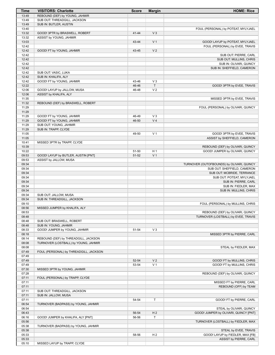| Time           | <b>VISITORS: Charlotte</b>                          | <b>Score</b> | <b>Margin</b>  | <b>HOME: Rice</b>                                                       |
|----------------|-----------------------------------------------------|--------------|----------------|-------------------------------------------------------------------------|
| 13:49          | REBOUND (DEF) by YOUNG, JAHMIR                      |              |                |                                                                         |
| 13:49          | SUB OUT: THREADGILL, JACKSON                        |              |                |                                                                         |
| 13:49<br>13:40 | SUB IN: BUTLER, AUSTIN                              |              |                |                                                                         |
| 13:32          | GOOD! 3PTR by BRASWELL, ROBERT                      | $41 - 44$    | V <sub>3</sub> | FOUL (PERSONAL) by POTEAT, MYLYJAEL                                     |
| 13:32          | ASSIST by YOUNG, JAHMIR                             |              |                |                                                                         |
| 13:03          |                                                     | 43-44        | V <sub>1</sub> | GOOD! LAYUP by POTEAT, MYLYJAEL                                         |
| 12:42          |                                                     |              |                | FOUL (PERSONAL) by EVEE, TRAVIS                                         |
| 12:42          | GOOD! FT by YOUNG, JAHMIR                           | 43-45        | V <sub>2</sub> |                                                                         |
| 12:42          |                                                     |              |                | SUB OUT: PIERRE, CARL                                                   |
| 12:42          |                                                     |              |                | SUB OUT: MULLINS, CHRIS                                                 |
| 12:42          |                                                     |              |                | SUB IN: OLIVARI, QUINCY                                                 |
| 12:42          |                                                     |              |                | SUB IN: SHEFFIELD, CAMERON                                              |
| 12:42<br>12:42 | SUB OUT: VASIC, LUKA<br>SUB IN: KHALIFA, ALY        |              |                |                                                                         |
| 12:42          | GOOD! FT by YOUNG, JAHMIR                           | 43-46        | $V_3$          |                                                                         |
| 12:22          |                                                     | 46-46        | $\mathsf{T}$   | GOOD! 3PTR by EVEE, TRAVIS                                              |
| 12:06          | GOOD! LAYUP by JALLOW, MUSA                         | 46-48        | V <sub>2</sub> |                                                                         |
| 12:06          | ASSIST by KHALIFA, ALY                              |              |                |                                                                         |
| 11:35          |                                                     |              |                | MISSED 3PTR by EVEE, TRAVIS                                             |
| 11:32          | REBOUND (DEF) by BRASWELL, ROBERT                   |              |                |                                                                         |
| 11:29          |                                                     |              |                | FOUL (PERSONAL) by OLIVARI, QUINCY                                      |
| 11:29          |                                                     |              |                |                                                                         |
| 11:29          | GOOD! FT by YOUNG, JAHMIR                           | 46-49        | $V_3$          |                                                                         |
| 11:29<br>11:29 | GOOD! FT by YOUNG, JAHMIR<br>SUB OUT: YOUNG, JAHMIR | 46-50        | V <sub>4</sub> |                                                                         |
| 11:29          | SUB IN: TRAPP, CLYDE                                |              |                |                                                                         |
| 11:05          |                                                     | 49-50        | V <sub>1</sub> | GOOD! 3PTR by EVEE, TRAVIS                                              |
| 11:05          |                                                     |              |                | ASSIST by SHEFFIELD, CAMERON                                            |
| 10:41          | MISSED 3PTR by TRAPP, CLYDE                         |              |                |                                                                         |
| 10:39          |                                                     |              |                | REBOUND (DEF) by OLIVARI, QUINCY                                        |
| 10:22          |                                                     | 51-50        | H <sub>1</sub> | GOOD! JUMPER by OLIVARI, QUINCY                                         |
| 09:53          | GOOD! LAYUP by BUTLER, AUSTIN [PNT]                 | 51-52        | V <sub>1</sub> |                                                                         |
| 09:53          | ASSIST by JALLOW, MUSA                              |              |                |                                                                         |
| 09:34          |                                                     |              |                | TURNOVER (OUTOFBOUNDS) by OLIVARI, QUINCY                               |
| 09:34<br>09:34 |                                                     |              |                | SUB OUT: SHEFFIELD, CAMERON<br>SUB OUT: MCBRIDE, TERRANCE               |
| 09:34          |                                                     |              |                | SUB OUT: POTEAT, MYLYJAEL                                               |
| 09:34          |                                                     |              |                | SUB IN: PIERRE, CARL                                                    |
| 09:34          |                                                     |              |                | SUB IN: FIEDLER, MAX                                                    |
| 09:34          |                                                     |              |                | SUB IN: MULLINS, CHRIS                                                  |
| 09:34          | SUB OUT: JALLOW, MUSA                               |              |                |                                                                         |
| 09:34          | SUB IN: THREADGILL, JACKSON                         |              |                |                                                                         |
| 09:10          |                                                     |              |                | FOUL (PERSONAL) by MULLINS, CHRIS                                       |
| 08:56          | MISSED JUMPER by KHALIFA, ALY                       |              |                |                                                                         |
| 08:53<br>08:48 |                                                     |              |                | REBOUND (DEF) by OLIVARI, QUINCY<br>TURNOVER (LOSTBALL) by EVEE, TRAVIS |
| 08:48          | SUB OUT: BRASWELL, ROBERT                           |              |                |                                                                         |
| 08:48          | SUB IN: YOUNG, JAHMIR                               |              |                |                                                                         |
| 08:33          | GOOD! JUMPER by YOUNG, JAHMIR                       | 51-54        | $V_3$          |                                                                         |
| 08:18          |                                                     |              |                | MISSED 3PTR by PIERRE, CARL                                             |
| 08:14          | REBOUND (DEF) by THREADGILL, JACKSON                |              |                |                                                                         |
| 08:08          | TURNOVER (LOSTBALL) by YOUNG, JAHMIR                |              |                |                                                                         |
| 08:08          |                                                     |              |                | STEAL by FIEDLER, MAX                                                   |
| 07:49          | FOUL (PERSONAL) by THREADGILL, JACKSON              |              |                |                                                                         |
| 07:49<br>07:49 |                                                     | 52-54        | V <sub>2</sub> | GOOD! FT by MULLINS, CHRIS                                              |
| 07:49          |                                                     | 53-54        | V <sub>1</sub> | GOOD! FT by MULLINS, CHRIS                                              |
| 07:30          | MISSED 3PTR by YOUNG, JAHMIR                        |              |                |                                                                         |
| 07:28          |                                                     |              |                | REBOUND (DEF) by OLIVARI, QUINCY                                        |
| 07:11          | FOUL (PERSONAL) by TRAPP, CLYDE                     |              |                |                                                                         |
| 07:11          |                                                     |              |                | MISSED FT by PIERRE, CARL                                               |
| 07:11          |                                                     |              |                | REBOUND (OFF) by TEAM                                                   |
| 07:11          | SUB OUT: THREADGILL, JACKSON                        |              |                |                                                                         |
| 07:11          | SUB IN: JALLOW, MUSA                                |              |                |                                                                         |
| 07:11          |                                                     | 54-54        | $\mathsf T$    | GOOD! FT by PIERRE, CARL                                                |
| 06:54<br>06:54 | TURNOVER (BADPASS) by YOUNG, JAHMIR                 |              |                | STEAL by OLIVARI, QUINCY                                                |
| 06:43          |                                                     | 56-54        | H <sub>2</sub> | GOOD! JUMPER by OLIVARI, QUINCY [PNT]                                   |
| 06:16          | GOOD! JUMPER by KHALIFA, ALY [PNT]                  | 56-56        | T              |                                                                         |
| 05:56          |                                                     |              |                | TURNOVER (LOSTBALL) by FIEDLER, MAX                                     |
| 05:38          | TURNOVER (BADPASS) by YOUNG, JAHMIR                 |              |                |                                                                         |
| 05:38          |                                                     |              |                | STEAL by EVEE, TRAVIS                                                   |
| 05:33          |                                                     | 58-56        | H <sub>2</sub> | GOOD! LAYUP by FIEDLER, MAX [FB]                                        |
| 05:33          |                                                     |              |                | ASSIST by PIERRE, CARL                                                  |
| 05:10          | MISSED LAYUP by TRAPP, CLYDE                        |              |                |                                                                         |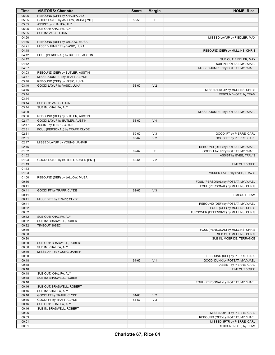| Time  | <b>VISITORS: Charlotte</b>                                 | <b>Score</b> | <b>Margin</b>  | <b>HOME: Rice</b>                      |
|-------|------------------------------------------------------------|--------------|----------------|----------------------------------------|
| 05:06 | REBOUND (OFF) by KHALIFA, ALY                              |              |                |                                        |
| 05:05 | GOOD! LAYUP by JALLOW, MUSA [PNT]                          | 58-58        | T              |                                        |
| 05:05 | ASSIST by KHALIFA, ALY                                     |              |                |                                        |
| 05:05 | SUB OUT: KHALIFA, ALY                                      |              |                |                                        |
| 05:05 | SUB IN: VASIC, LUKA                                        |              |                |                                        |
| 04:50 |                                                            |              |                | MISSED LAYUP by FIEDLER, MAX           |
| 04:46 | REBOUND (DEF) by JALLOW, MUSA                              |              |                |                                        |
| 04:21 | MISSED JUMPER by VASIC, LUKA                               |              |                |                                        |
| 04:18 |                                                            |              |                | REBOUND (DEF) by MULLINS, CHRIS        |
| 04:12 | FOUL (PERSONAL) by BUTLER, AUSTIN                          |              |                |                                        |
| 04:12 |                                                            |              |                | SUB OUT: FIEDLER, MAX                  |
| 04:12 |                                                            |              |                | SUB IN: POTEAT, MYLYJAEL               |
| 04:07 |                                                            |              |                | MISSED JUMPER by POTEAT, MYLYJAEL      |
| 04:03 | REBOUND (DEF) by BUTLER, AUSTIN                            |              |                |                                        |
| 03:47 | MISSED JUMPER by TRAPP, CLYDE                              |              |                |                                        |
| 03:40 |                                                            |              |                |                                        |
| 03:40 | REBOUND (OFF) by VASIC, LUKA<br>GOOD! LAYUP by VASIC, LUKA | 58-60        | V <sub>2</sub> |                                        |
| 03:16 |                                                            |              |                |                                        |
|       |                                                            |              |                | MISSED LAYUP by MULLINS, CHRIS         |
| 03:14 |                                                            |              |                | REBOUND (OFF) by TEAM                  |
| 03:14 |                                                            |              |                |                                        |
| 03:14 | SUB OUT: VASIC, LUKA                                       |              |                |                                        |
| 03:14 | SUB IN: KHALIFA, ALY                                       |              |                |                                        |
| 03:09 |                                                            |              |                | MISSED JUMPER by POTEAT, MYLYJAEL      |
| 03:06 | REBOUND (DEF) by BUTLER, AUSTIN                            |              |                |                                        |
| 02:47 | GOOD! LAYUP by BUTLER, AUSTIN                              | 58-62        | V <sub>4</sub> |                                        |
| 02:47 | ASSIST by TRAPP, CLYDE                                     |              |                |                                        |
| 02:31 | FOUL (PERSONAL) by TRAPP, CLYDE                            |              |                |                                        |
| 02:31 |                                                            | 59-62        | $V_3$          | GOOD! FT by PIERRE, CARL               |
| 02:31 |                                                            | 60-62        | V <sub>2</sub> | GOOD! FT by PIERRE, CARL               |
| 02:17 | MISSED LAYUP by YOUNG, JAHMIR                              |              |                |                                        |
| 02:15 |                                                            |              |                | REBOUND (DEF) by POTEAT, MYLYJAEL      |
| 01:52 |                                                            | 62-62        | $\mathsf{T}$   | GOOD! LAYUP by POTEAT, MYLYJAEL        |
| 01:52 |                                                            |              |                | ASSIST by EVEE, TRAVIS                 |
| 01:23 | GOOD! LAYUP by BUTLER, AUSTIN [PNT]                        | 62-64        | V <sub>2</sub> |                                        |
| 01:13 |                                                            |              |                | TIMEOUT 30SEC                          |
| 01:13 |                                                            |              |                |                                        |
| 01:03 |                                                            |              |                | MISSED LAYUP by EVEE, TRAVIS           |
| 01:00 | REBOUND (DEF) by JALLOW, MUSA                              |              |                |                                        |
| 00:56 |                                                            |              |                | FOUL (PERSONAL) by POTEAT, MYLYJAEL    |
| 00:41 |                                                            |              |                | FOUL (PERSONAL) by MULLINS, CHRIS      |
| 00:41 | GOOD! FT by TRAPP, CLYDE                                   | 62-65        | $V_3$          |                                        |
| 00:41 |                                                            |              |                | <b>TIMEOUT TEAM</b>                    |
| 00:41 | MISSED FT by TRAPP, CLYDE                                  |              |                |                                        |
| 00:41 |                                                            |              |                | REBOUND (DEF) by POTEAT, MYLYJAEL      |
| 00:32 |                                                            |              |                | FOUL (OFF) by MULLINS, CHRIS           |
| 00:32 |                                                            |              |                | TURNOVER (OFFENSIVE) by MULLINS, CHRIS |
| 00:32 | SUB OUT: KHALIFA, ALY                                      |              |                |                                        |
| 00:32 | SUB IN: BRASWELL, ROBERT                                   |              |                |                                        |
| 00:32 | TIMEOUT 30SEC                                              |              |                |                                        |
| 00:30 |                                                            |              |                | FOUL (PERSONAL) by MULLINS, CHRIS      |
| 00:30 |                                                            |              |                | SUB OUT: MULLINS, CHRIS                |
| 00:30 |                                                            |              |                | SUB IN: MCBRIDE, TERRANCE              |
| 00:30 | SUB OUT: BRASWELL, ROBERT                                  |              |                |                                        |
| 00:30 | SUB IN: KHALIFA, ALY                                       |              |                |                                        |
| 00:30 | MISSED FT by YOUNG, JAHMIR                                 |              |                |                                        |
| 00:30 |                                                            |              |                | REBOUND (DEF) by PIERRE, CARL          |
| 00:18 |                                                            | 64-65        | V <sub>1</sub> | GOOD! DUNK by POTEAT, MYLYJAEL         |
| 00:18 |                                                            |              |                |                                        |
|       |                                                            |              |                | ASSIST by PIERRE, CARL                 |
| 00:18 |                                                            |              |                | TIMEOUT 30SEC                          |
| 00:18 | SUB OUT: KHALIFA, ALY                                      |              |                |                                        |
| 00:18 | SUB IN: BRASWELL, ROBERT                                   |              |                |                                        |
| 00:16 |                                                            |              |                | FOUL (PERSONAL) by POTEAT, MYLYJAEL    |
| 00:16 | SUB OUT: BRASWELL, ROBERT                                  |              |                |                                        |
| 00:16 | SUB IN: KHALIFA, ALY                                       |              |                |                                        |
| 00:16 | GOOD! FT by TRAPP, CLYDE                                   | 64-66        | V <sub>2</sub> |                                        |
| 00:16 | GOOD! FT by TRAPP, CLYDE                                   | 64-67        | $V_3$          |                                        |
| 00:16 | SUB OUT: KHALIFA, ALY                                      |              |                |                                        |
| 00:16 | SUB IN: BRASWELL, ROBERT                                   |              |                |                                        |
| 00:06 |                                                            |              |                | MISSED 3PTR by PIERRE, CARL            |
| 00:03 |                                                            |              |                | REBOUND (OFF) by POTEAT, MYLYJAEL      |
| 00:01 |                                                            |              |                | MISSED 3PTR by PIERRE, CARL            |
| 00:01 |                                                            |              |                | REBOUND (OFF) by TEAM                  |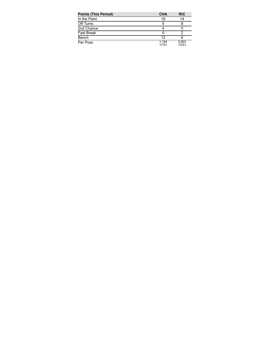| <b>Points (This Period)</b> | <b>CHA</b>     | <b>RIC</b>     |
|-----------------------------|----------------|----------------|
| In the Paint                | 16             | 14             |
| Off Turns                   | 5              |                |
| 2nd Chance                  |                |                |
| <b>Fast Break</b>           | 0              |                |
| Bench                       | 12             |                |
| Per Poss                    | 1.194<br>17/31 | 0.903<br>13/31 |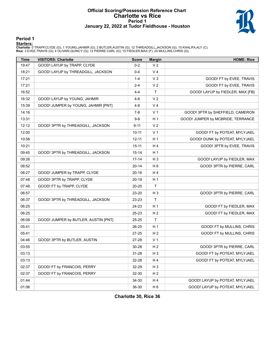#### **Official Scoring/Possession Reference Chart Charlotte vs Rice Period 1 January 22, 2022 at Tudor Fieldhouse - Houston**



### **Period 1**

<mark>Starters :</mark><br>Charlotte: 0 TRAPP,CLYDE (G); 1 YOUNG,JAHMIR (G); 2 BUTLER,AUSTIN (G); 12 THREADGILL,JACKSON (G); 15 KHALIFA,ALY (C);<br>**Rice**: 3 EVEE,TRAVIS (G); 4 OLIVARI,QUINCY (G); 12 PIERRE,CARL (G); 15 FIEDLER,MAX (F); 24

| Time  | <b>VISITORS: Charlotte</b>           | <b>Score</b> | <b>Margin</b>  | <b>HOME: Rice</b>                 |
|-------|--------------------------------------|--------------|----------------|-----------------------------------|
| 19:47 | GOOD! LAYUP by TRAPP, CLYDE          | $0 - 2$      | V <sub>2</sub> |                                   |
| 18:21 | GOOD! LAYUP by THREADGILL, JACKSON   | 0-4          | V <sub>4</sub> |                                   |
| 17:21 |                                      | $1 - 4$      | $V_3$          | GOOD! FT by EVEE, TRAVIS          |
| 17:21 |                                      | 2-4          | V <sub>2</sub> | GOOD! FT by EVEE, TRAVIS          |
| 16:52 |                                      | 4-4          | T              | GOOD! LAYUP by FIEDLER, MAX [FB]  |
| 16:32 | GOOD! LAYUP by YOUNG, JAHMIR         | 4-6          | V <sub>2</sub> |                                   |
| 15:39 | GOOD! JUMPER by YOUNG, JAHMIR [PNT]  | 4-8          | V <sub>4</sub> |                                   |
| 14:16 |                                      | 7-8          | V <sub>1</sub> | GOOD! 3PTR by SHEFFIELD, CAMERON  |
| 13:31 |                                      | $9-8$        | H <sub>1</sub> | GOOD! JUMPER by MCBRIDE, TERRANCE |
| 12:12 | GOOD! 3PTR by THREADGILL, JACKSON    | $9 - 11$     | V <sub>2</sub> |                                   |
| 12:00 |                                      | $10 - 11$    | V <sub>1</sub> | GOOD! FT by POTEAT, MYLYJAEL      |
| 10:58 |                                      | $12 - 11$    | H <sub>1</sub> | GOOD! DUNK by POTEAT, MYLYJAEL    |
| 10:21 |                                      | $15 - 11$    | H4             | GOOD! 3PTR by EVEE, TRAVIS        |
| 09:45 | GOOD! 3PTR by THREADGILL, JACKSON    | $15 - 14$    | H <sub>1</sub> |                                   |
| 09:26 |                                      | $17 - 14$    | $H_3$          | GOOD! LAYUP by FIEDLER, MAX       |
| 08:52 |                                      | $20 - 14$    | H <sub>6</sub> | GOOD! 3PTR by PIERRE, CARL        |
| 08:27 | GOOD! JUMPER by TRAPP, CLYDE         | $20 - 16$    | H4             |                                   |
| 07:48 | GOOD! 3PTR by TRAPP, CLYDE           | 20-19        | H <sub>1</sub> |                                   |
| 07:48 | GOOD! FT by TRAPP, CLYDE             | 20-20        | $\top$         |                                   |
| 06:57 |                                      | 23-20        | $H_3$          | GOOD! 3PTR by PIERRE, CARL        |
| 06:37 | GOOD! 3PTR by THREADGILL, JACKSON    | 23-23        | T              |                                   |
| 06:25 |                                      | 24-23        | H <sub>1</sub> | GOOD! FT by FIEDLER, MAX          |
| 06:25 |                                      | 25-23        | H <sub>2</sub> | GOOD! FT by FIEDLER, MAX          |
| 06:08 | GOOD! JUMPER by BUTLER, AUSTIN [PNT] | 25-25        | T              |                                   |
| 05:41 |                                      | 26-25        | H <sub>1</sub> | GOOD! FT by MULLINS, CHRIS        |
| 05:41 |                                      | 27-25        | H <sub>2</sub> | GOOD! FT by MULLINS, CHRIS        |
| 04:46 | GOOD! 3PTR by BUTLER, AUSTIN         | 27-28        | V <sub>1</sub> |                                   |
| 03:55 |                                      | 30-28        | H <sub>2</sub> | GOOD! 3PTR by PIERRE, CARL        |
| 03:13 |                                      | $31 - 28$    | H <sub>3</sub> | GOOD! FT by POTEAT, MYLYJAEL      |
| 03:13 |                                      | 32-28        | H 4            | GOOD! FT by POTEAT, MYLYJAEL      |
| 02:37 | GOOD! FT by FRANCOIS, PERRY          | 32-29        | H <sub>3</sub> |                                   |
| 02:37 | GOOD! FT by FRANCOIS, PERRY          | 32-30        | H <sub>2</sub> |                                   |
| 01:44 |                                      | 34-30        | H 4            | GOOD! LAYUP by POTEAT, MYLYJAEL   |
| 01:06 |                                      | 36-30        | H <sub>6</sub> | GOOD! LAYUP by POTEAT, MYLYJAEL   |

**Charlotte 30, Rice 36**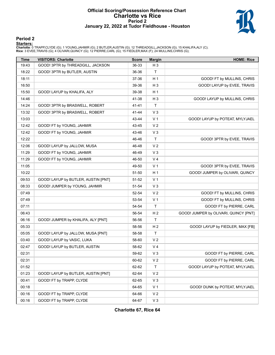#### **Official Scoring/Possession Reference Chart Charlotte vs Rice Period 2 January 22, 2022 at Tudor Fieldhouse - Houston**



### **Period 2**

<mark>Starters :</mark><br>Charlotte: 0 TRAPP,CLYDE (G); 1 YOUNG,JAHMIR (G); 2 BUTLER,AUSTIN (G); 12 THREADGILL,JACKSON (G); 15 KHALIFA,ALY (C);<br>**Rice**: 3 EVEE,TRAVIS (G); 4 OLIVARI,QUINCY (G); 12 PIERRE,CARL (G); 15 FIEDLER,MAX (F); 24

| Time  | <b>VISITORS: Charlotte</b>          | <b>Score</b> | <b>Margin</b>  | <b>HOME: Rice</b>                     |
|-------|-------------------------------------|--------------|----------------|---------------------------------------|
| 19:43 | GOOD! 3PTR by THREADGILL, JACKSON   | 36-33        | H <sub>3</sub> |                                       |
| 18:22 | GOOD! 3PTR by BUTLER, AUSTIN        | 36-36        | T.             |                                       |
| 18:11 |                                     | 37-36        | H <sub>1</sub> | GOOD! FT by MULLINS, CHRIS            |
| 16:50 |                                     | 39-36        | $H_3$          | GOOD! LAYUP by EVEE, TRAVIS           |
| 15:50 | GOOD! LAYUP by KHALIFA, ALY         | 39-38        | H <sub>1</sub> |                                       |
| 14:46 |                                     | 41-38        | H <sub>3</sub> | GOOD! LAYUP by MULLINS, CHRIS         |
| 14:24 | GOOD! 3PTR by BRASWELL, ROBERT      | 41-41        | $\mathsf T$    |                                       |
| 13:32 | GOOD! 3PTR by BRASWELL, ROBERT      | 41-44        | $V_3$          |                                       |
| 13:03 |                                     | 43-44        | V <sub>1</sub> | GOOD! LAYUP by POTEAT, MYLYJAEL       |
| 12:42 | GOOD! FT by YOUNG, JAHMIR           | 43-45        | V <sub>2</sub> |                                       |
| 12:42 | GOOD! FT by YOUNG, JAHMIR           | 43-46        | $V_3$          |                                       |
| 12:22 |                                     | 46-46        | T              | GOOD! 3PTR by EVEE, TRAVIS            |
| 12:06 | GOOD! LAYUP by JALLOW, MUSA         | 46-48        | V <sub>2</sub> |                                       |
| 11:29 | GOOD! FT by YOUNG, JAHMIR           | 46-49        | $V_3$          |                                       |
| 11:29 | GOOD! FT by YOUNG, JAHMIR           | 46-50        | V <sub>4</sub> |                                       |
| 11:05 |                                     | 49-50        | V <sub>1</sub> | GOOD! 3PTR by EVEE, TRAVIS            |
| 10:22 |                                     | 51-50        | H <sub>1</sub> | GOOD! JUMPER by OLIVARI, QUINCY       |
| 09:53 | GOOD! LAYUP by BUTLER, AUSTIN [PNT] | 51-52        | V <sub>1</sub> |                                       |
| 08:33 | GOOD! JUMPER by YOUNG, JAHMIR       | 51-54        | $V_3$          |                                       |
| 07:49 |                                     | 52-54        | V <sub>2</sub> | GOOD! FT by MULLINS, CHRIS            |
| 07:49 |                                     | 53-54        | V <sub>1</sub> | GOOD! FT by MULLINS, CHRIS            |
| 07:11 |                                     | 54-54        | T              | GOOD! FT by PIERRE, CARL              |
| 06:43 |                                     | 56-54        | H <sub>2</sub> | GOOD! JUMPER by OLIVARI, QUINCY [PNT] |
| 06:16 | GOOD! JUMPER by KHALIFA, ALY [PNT]  | 56-56        | T              |                                       |
| 05:33 |                                     | 58-56        | H <sub>2</sub> | GOOD! LAYUP by FIEDLER, MAX [FB]      |
| 05:05 | GOOD! LAYUP by JALLOW, MUSA [PNT]   | 58-58        | T              |                                       |
| 03:40 | GOOD! LAYUP by VASIC, LUKA          | 58-60        | V <sub>2</sub> |                                       |
| 02:47 | GOOD! LAYUP by BUTLER, AUSTIN       | 58-62        | V <sub>4</sub> |                                       |
| 02:31 |                                     | 59-62        | $V_3$          | GOOD! FT by PIERRE, CARL              |
| 02:31 |                                     | 60-62        | V <sub>2</sub> | GOOD! FT by PIERRE, CARL              |
| 01:52 |                                     | 62-62        | T.             | GOOD! LAYUP by POTEAT, MYLYJAEL       |
| 01:23 | GOOD! LAYUP by BUTLER, AUSTIN [PNT] | 62-64        | V <sub>2</sub> |                                       |
| 00:41 | GOOD! FT by TRAPP, CLYDE            | 62-65        | $V_3$          |                                       |
| 00:18 |                                     | 64-65        | V <sub>1</sub> | GOOD! DUNK by POTEAT, MYLYJAEL        |
| 00:16 | GOOD! FT by TRAPP, CLYDE            | 64-66        | V <sub>2</sub> |                                       |
| 00:16 | GOOD! FT by TRAPP, CLYDE            | 64-67        | $V_3$          |                                       |

**Charlotte 67, Rice 64**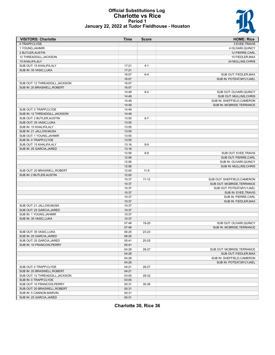#### **Official Substitutions Log Charlotte vs Rice Period 1 January 22, 2022 at Tudor Fieldhouse - Houston**



| <b>VISITORS: Charlotte</b>      | Time  | <b>Score</b> | <b>HOME: Rice</b>           |
|---------------------------------|-------|--------------|-----------------------------|
| 0 TRAPP,CLYDE                   |       |              | 3 EVEE, TRAVIS              |
| 1 YOUNG, JAHMIR                 |       |              | 4 OLIVARI, QUINCY           |
| 2 BUTLER, AUSTIN                |       |              | 12 PIERRE, CARL             |
| 12 THREADGILL, JACKSON          |       |              | 15 FIEDLER, MAX             |
| 15 KHALIFA, ALY                 |       |              | 24 MULLINS, CHRIS           |
| SUB OUT: 15 KHALIFA, ALY        | 17:21 | $4 - 1$      |                             |
| SUB IN: 35 VASIC, LUKA          | 17:21 |              |                             |
|                                 | 16:07 | $6 - 4$      | SUB OUT: FIEDLER, MAX       |
|                                 | 16:07 |              | SUB IN: POTEAT, MYLYJAEL    |
| SUB OUT: 12 THREADGILL, JACKSON | 16:07 |              |                             |
| SUB IN: 20 BRASWELL, ROBERT     | 16:07 |              |                             |
|                                 | 14:49 | $8 - 4$      | SUB OUT: OLIVARI, QUINCY    |
|                                 | 14:49 |              | SUB OUT: MULLINS, CHRIS     |
|                                 | 14:49 |              | SUB IN: SHEFFIELD, CAMERON  |
|                                 | 14:49 |              | SUB IN: MCBRIDE, TERRANCE   |
| SUB OUT: 0 TRAPP,CLYDE          | 14:49 |              |                             |
| SUB IN: 12 THREADGILL, JACKSON  | 14:49 |              |                             |
| SUB OUT: 2 BUTLER, AUSTIN       | 13:55 | $8 - 7$      |                             |
| SUB OUT: 35 VASIC, LUKA         | 13:55 |              |                             |
| SUB IN: 15 KHALIFA, ALY         | 13:55 |              |                             |
| SUB IN: 21 JALLOW, MUSA         | 13:55 |              |                             |
| SUB OUT: 1 YOUNG, JAHMIR        | 13:55 |              |                             |
| SUB IN: 0 TRAPP,CLYDE           | 13:55 |              |                             |
| SUB OUT: 15 KHALIFA, ALY        | 13:16 | $8-9$        |                             |
| SUB IN: 25 GARCIA, JARED        | 13:16 |              |                             |
|                                 | 12:56 | $8-9$        | SUB OUT: EVEE, TRAVIS       |
|                                 | 12:56 |              | SUB OUT: PIERRE, CARL       |
|                                 | 12:56 |              | SUB IN: OLIVARI, QUINCY     |
|                                 | 12:56 |              | SUB IN: MULLINS, CHRIS      |
| SUB OUT: 20 BRASWELL, ROBERT    | 12:00 | $11-9$       |                             |
| SUB IN: 2 BUTLER, AUSTIN        | 12:00 |              |                             |
|                                 | 10:37 | $11 - 12$    | SUB OUT: SHEFFIELD, CAMERON |
|                                 | 10:37 |              | SUB OUT: MCBRIDE, TERRANCE  |
|                                 | 10:37 |              | SUB OUT: POTEAT, MYLYJAEL   |
|                                 | 10:37 |              | SUB IN: EVEE, TRAVIS        |
|                                 | 10:37 |              | SUB IN: PIERRE, CARL        |
|                                 |       |              |                             |
|                                 | 10:37 |              | SUB IN: FIEDLER, MAX        |
| SUB OUT: 21 JALLOW, MUSA        | 10:37 |              |                             |
| SUB OUT: 25 GARCIA, JARED       | 10:37 |              |                             |
| SUB IN: 1 YOUNG, JAHMIR         | 10:37 |              |                             |
| SUB IN: 35 VASIC, LUKA          | 10:37 |              |                             |
|                                 | 07:48 | 19-20        | SUB OUT: OLIVARI, QUINCY    |
|                                 | 07:48 |              | SUB IN: MCBRIDE, TERRANCE   |
| SUB OUT: 35 VASIC.LUKA          | 06:25 | 23-23        |                             |
| SUB IN: 25 GARCIA, JARED        | 06:25 |              |                             |
| SUB OUT: 25 GARCIA, JARED       | 05:41 | 25-25        |                             |
| SUB IN: 10 FRANCOIS.PERRY       | 05:41 |              |                             |
|                                 | 04:28 | 28-27        | SUB OUT: MCBRIDE, TERRANCE  |
|                                 | 04:28 |              | SUB OUT: FIEDLER, MAX       |
|                                 | 04:28 |              | SUB IN: SHEFFIELD, CAMERON  |
|                                 | 04:28 |              | SUB IN: POTEAT, MYLYJAEL    |
| SUB OUT: 0 TRAPP,CLYDE          | 04:21 | 28-27        |                             |
| SUB IN: 20 BRASWELL, ROBERT     | 04:21 |              |                             |
| SUB OUT: 12 THREADGILL, JACKSON | 03:05 | 28-32        |                             |
| SUB IN: 0 TRAPP, CLYDE          | 03:05 |              |                             |
| SUB OUT: 10 FRANCOIS, PERRY     | 00:31 | 30-36        |                             |
| SUB OUT: 20 BRASWELL, ROBERT    | 00:31 |              |                             |
| SUB IN: 5 CANNON, MARVIN        | 00:31 |              |                             |
| SUB IN: 25 GARCIA, JARED        | 00:31 |              |                             |

**Charlotte 30, Rice 36**